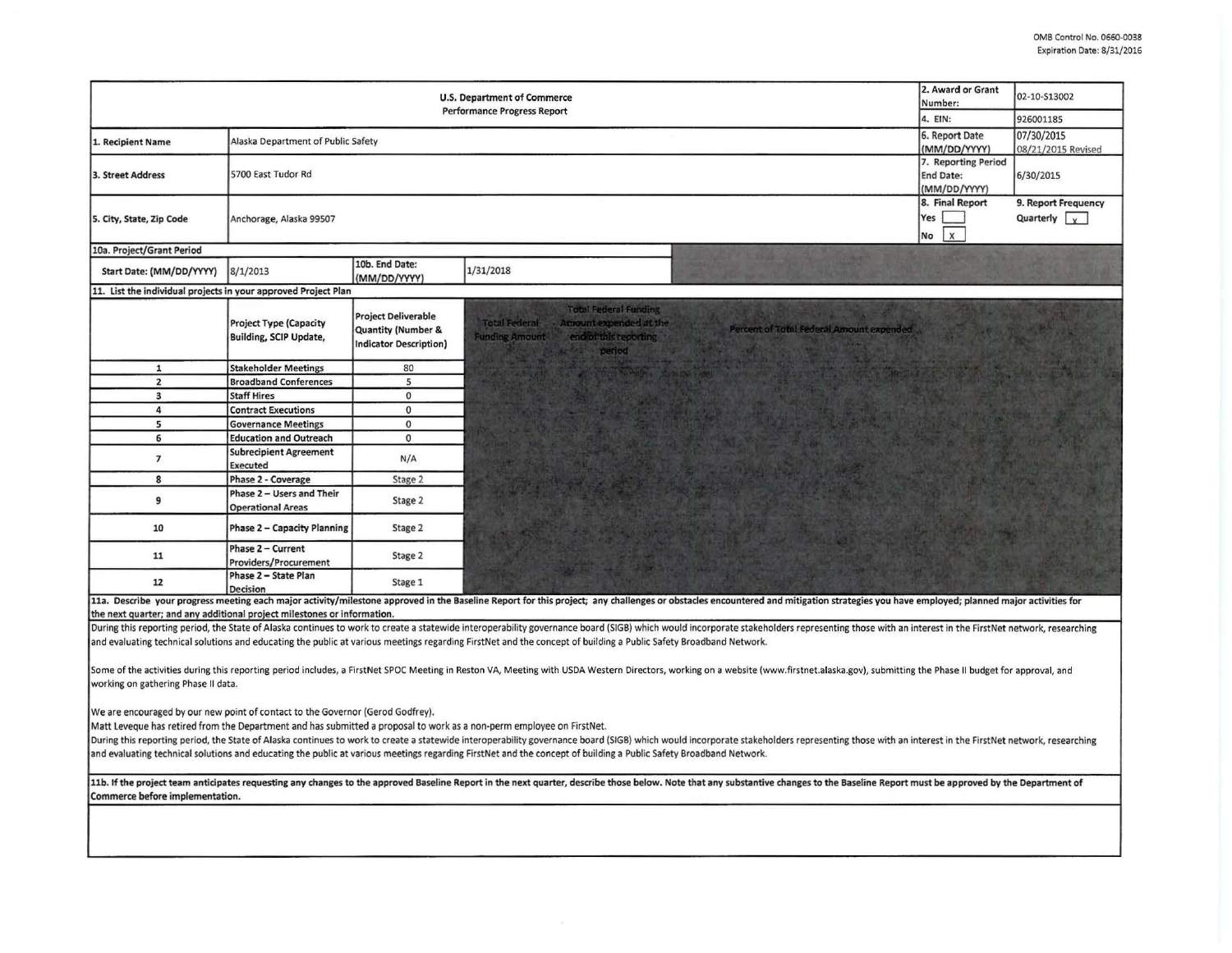| <b>U.S. Department of Commerce</b><br><b>Performance Progress Report</b>                                                                                                                                                                                                                                                                                                                                                                                                                                                                                                                                       |                                                         |                                                                                              |                                                                                                                                                                                                                                |                                              | 02-10-S13002<br>926001185                   |  |
|----------------------------------------------------------------------------------------------------------------------------------------------------------------------------------------------------------------------------------------------------------------------------------------------------------------------------------------------------------------------------------------------------------------------------------------------------------------------------------------------------------------------------------------------------------------------------------------------------------------|---------------------------------------------------------|----------------------------------------------------------------------------------------------|--------------------------------------------------------------------------------------------------------------------------------------------------------------------------------------------------------------------------------|----------------------------------------------|---------------------------------------------|--|
| 1. Recipient Name                                                                                                                                                                                                                                                                                                                                                                                                                                                                                                                                                                                              | Alaska Department of Public Safety                      | 6. Report Date<br>(MM/DD/YYYY)                                                               | 07/30/2015<br>08/21/2015 Revised                                                                                                                                                                                               |                                              |                                             |  |
| 3. Street Address                                                                                                                                                                                                                                                                                                                                                                                                                                                                                                                                                                                              | 5700 East Tudor Rd                                      | 7. Reporting Period<br><b>End Date:</b><br>(MM/DD/YYYY)                                      | 6/30/2015                                                                                                                                                                                                                      |                                              |                                             |  |
| 5. City, State, Zip Code                                                                                                                                                                                                                                                                                                                                                                                                                                                                                                                                                                                       | Anchorage, Alaska 99507                                 |                                                                                              |                                                                                                                                                                                                                                | 8. Final Report<br>Yes<br>$\mathsf{x}$<br>No | 9. Report Frequency<br>Quarterly $\sqrt{v}$ |  |
| 10a. Project/Grant Period                                                                                                                                                                                                                                                                                                                                                                                                                                                                                                                                                                                      |                                                         |                                                                                              |                                                                                                                                                                                                                                |                                              |                                             |  |
| Start Date: (MM/DD/YYYY)                                                                                                                                                                                                                                                                                                                                                                                                                                                                                                                                                                                       | 8/1/2013                                                | 10b. End Date:<br>(MM/DD/YYYY)                                                               | 1/31/2018                                                                                                                                                                                                                      |                                              |                                             |  |
| 11. List the individual projects in your approved Project Plan                                                                                                                                                                                                                                                                                                                                                                                                                                                                                                                                                 |                                                         |                                                                                              |                                                                                                                                                                                                                                |                                              |                                             |  |
|                                                                                                                                                                                                                                                                                                                                                                                                                                                                                                                                                                                                                | <b>Project Type (Capacity</b><br>Building, SCIP Update, | <b>Project Deliverable</b><br><b>Quantity (Number &amp;</b><br><b>Indicator Description)</b> | <b>Total Federal Funding</b><br>Arrount expended at the<br><b>Total Federal</b><br>Percent of Total Federal Amount expended<br>end of this reporting<br><b>Funding Amount</b><br>period                                        |                                              |                                             |  |
| $\mathbf{1}$                                                                                                                                                                                                                                                                                                                                                                                                                                                                                                                                                                                                   | <b>Stakeholder Meetings</b>                             | 80                                                                                           |                                                                                                                                                                                                                                |                                              |                                             |  |
| $\overline{2}$                                                                                                                                                                                                                                                                                                                                                                                                                                                                                                                                                                                                 | <b>Broadband Conferences</b>                            | 5                                                                                            |                                                                                                                                                                                                                                |                                              |                                             |  |
| 3                                                                                                                                                                                                                                                                                                                                                                                                                                                                                                                                                                                                              | <b>Staff Hires</b>                                      | $\circ$                                                                                      |                                                                                                                                                                                                                                |                                              |                                             |  |
| 4                                                                                                                                                                                                                                                                                                                                                                                                                                                                                                                                                                                                              | <b>Contract Executions</b>                              | $\mathbf{0}$                                                                                 |                                                                                                                                                                                                                                |                                              |                                             |  |
| 5                                                                                                                                                                                                                                                                                                                                                                                                                                                                                                                                                                                                              | <b>Governance Meetings</b>                              | $\circ$                                                                                      |                                                                                                                                                                                                                                |                                              |                                             |  |
| 6                                                                                                                                                                                                                                                                                                                                                                                                                                                                                                                                                                                                              | <b>Education and Outreach</b>                           | $\circ$                                                                                      |                                                                                                                                                                                                                                |                                              |                                             |  |
| $\overline{7}$                                                                                                                                                                                                                                                                                                                                                                                                                                                                                                                                                                                                 | <b>Subrecipient Agreement</b><br>Executed               | N/A                                                                                          |                                                                                                                                                                                                                                |                                              |                                             |  |
| 8                                                                                                                                                                                                                                                                                                                                                                                                                                                                                                                                                                                                              | Phase 2 - Coverage                                      | Stage 2                                                                                      |                                                                                                                                                                                                                                |                                              |                                             |  |
| 9                                                                                                                                                                                                                                                                                                                                                                                                                                                                                                                                                                                                              | Phase 2 - Users and Their<br><b>Operational Areas</b>   | Stage 2                                                                                      |                                                                                                                                                                                                                                |                                              |                                             |  |
| 10                                                                                                                                                                                                                                                                                                                                                                                                                                                                                                                                                                                                             | <b>Phase 2 - Capacity Planning</b>                      | Stage 2                                                                                      |                                                                                                                                                                                                                                |                                              |                                             |  |
| 11                                                                                                                                                                                                                                                                                                                                                                                                                                                                                                                                                                                                             | Phase 2 - Current<br>Providers/Procurement              | Stage 2                                                                                      |                                                                                                                                                                                                                                |                                              |                                             |  |
| 12                                                                                                                                                                                                                                                                                                                                                                                                                                                                                                                                                                                                             | Phase 2 - State Plan<br><b>Decision</b>                 | Stage 1                                                                                      |                                                                                                                                                                                                                                |                                              |                                             |  |
|                                                                                                                                                                                                                                                                                                                                                                                                                                                                                                                                                                                                                |                                                         |                                                                                              | 11a. Describe your progress meeting each major activity/milestone approved in the Baseline Report for this project; any challenges or obstacles encountered and mitigation strategies you have employed; planned major activit |                                              |                                             |  |
| the next quarter; and any additional project milestones or information.                                                                                                                                                                                                                                                                                                                                                                                                                                                                                                                                        |                                                         |                                                                                              |                                                                                                                                                                                                                                |                                              |                                             |  |
|                                                                                                                                                                                                                                                                                                                                                                                                                                                                                                                                                                                                                |                                                         |                                                                                              | During this reporting period, the State of Alaska continues to work to create a statewide interoperability governance board (SIGB) which would incorporate stakeholders representing those with an interest in the FirstNet ne |                                              |                                             |  |
|                                                                                                                                                                                                                                                                                                                                                                                                                                                                                                                                                                                                                |                                                         |                                                                                              | and evaluating technical solutions and educating the public at various meetings regarding FirstNet and the concept of building a Public Safety Broadband Network.                                                              |                                              |                                             |  |
| Some of the activities during this reporting period includes, a FirstNet SPOC Meeting in Reston VA, Meeting with USDA Western Directors, working on a website (www.firstnet.alaska.gov), submitting the Phase II budget for ap<br>working on gathering Phase II data.                                                                                                                                                                                                                                                                                                                                          |                                                         |                                                                                              |                                                                                                                                                                                                                                |                                              |                                             |  |
| We are encouraged by our new point of contact to the Governor (Gerod Godfrey).<br>Matt Leveque has retired from the Department and has submitted a proposal to work as a non-perm employee on FirstNet.<br>During this reporting period, the State of Alaska continues to work to create a statewide interoperability governance board (SIGB) which would incorporate stakeholders representing those with an interest in the FirstNet ne<br>and evaluating technical solutions and educating the public at various meetings regarding FirstNet and the concept of building a Public Safety Broadband Network. |                                                         |                                                                                              |                                                                                                                                                                                                                                |                                              |                                             |  |
| 11b. If the project team anticipates requesting any changes to the approved Baseline Report in the next quarter, describe those below. Note that any substantive changes to the Baseline Report must be approved by the Depart<br>Commerce before implementation.                                                                                                                                                                                                                                                                                                                                              |                                                         |                                                                                              |                                                                                                                                                                                                                                |                                              |                                             |  |
|                                                                                                                                                                                                                                                                                                                                                                                                                                                                                                                                                                                                                |                                                         |                                                                                              |                                                                                                                                                                                                                                |                                              |                                             |  |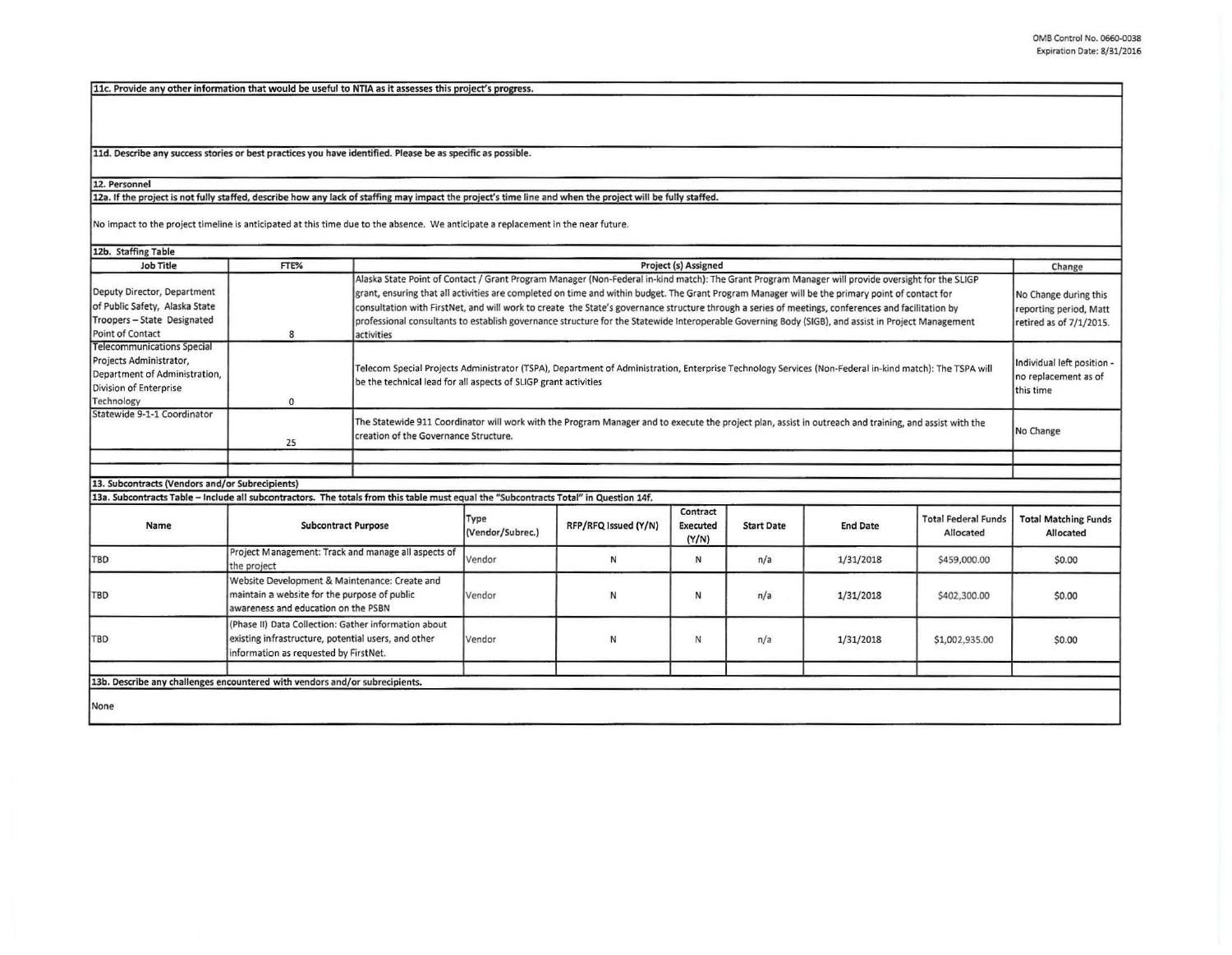11c. Provide anv other information that would be useful to NTIA as it assesses this project's progress.

11d. Describe any success stories or best practices you have identified. Please be as specific as possible.

12. Personnel

12a. If the project is not fully staffed, describe how any lack of staffing may impact the project's time line and when the project will be fully staffed.

No impact to the project timeline is anticipated at this time due to the absence. We anticipate a replacement in the near future.

| 12b. Staffing Table                                                                                                                   |                                                                                                                                                      |                                                                                                                                                                                                                                                                                                                                                                                                                                                                                                                                                                                                                                |                          |                      |                                      |                   |                 |                                                                            |                                                 |
|---------------------------------------------------------------------------------------------------------------------------------------|------------------------------------------------------------------------------------------------------------------------------------------------------|--------------------------------------------------------------------------------------------------------------------------------------------------------------------------------------------------------------------------------------------------------------------------------------------------------------------------------------------------------------------------------------------------------------------------------------------------------------------------------------------------------------------------------------------------------------------------------------------------------------------------------|--------------------------|----------------------|--------------------------------------|-------------------|-----------------|----------------------------------------------------------------------------|-------------------------------------------------|
| Job Title                                                                                                                             | FTE%                                                                                                                                                 | Project (s) Assigned                                                                                                                                                                                                                                                                                                                                                                                                                                                                                                                                                                                                           |                          |                      |                                      |                   | Change          |                                                                            |                                                 |
| Deputy Director, Department<br>of Public Safety, Alaska State<br>Troopers - State Designated<br>Point of Contact                      | 8                                                                                                                                                    | Alaska State Point of Contact / Grant Program Manager (Non-Federal in-kind match): The Grant Program Manager will provide oversight for the SLIGP<br>grant, ensuring that all activities are completed on time and within budget. The Grant Program Manager will be the primary point of contact for<br>consultation with FirstNet, and will work to create the State's governance structure through a series of meetings, conferences and facilitation by<br>professional consultants to establish governance structure for the Statewide Interoperable Governing Body (SIGB), and assist in Project Management<br>activities |                          |                      |                                      |                   |                 | No Change during this<br>reporting period, Matt<br>retired as of 7/1/2015. |                                                 |
| <b>Telecommunications Special</b><br>Projects Administrator,<br>Department of Administration,<br>Division of Enterprise<br>Technology | $\Omega$                                                                                                                                             | Telecom Special Projects Administrator (TSPA), Department of Administration, Enterprise Technology Services (Non-Federal in-kind match): The TSPA will<br>be the technical lead for all aspects of SLIGP grant activities                                                                                                                                                                                                                                                                                                                                                                                                      |                          |                      |                                      |                   |                 | Individual left position -<br>no replacement as of<br>this time            |                                                 |
| Statewide 9-1-1 Coordinator                                                                                                           | 25                                                                                                                                                   | The Statewide 911 Coordinator will work with the Program Manager and to execute the project plan, assist in outreach and training, and assist with the<br>creation of the Governance Structure.                                                                                                                                                                                                                                                                                                                                                                                                                                |                          |                      |                                      |                   |                 | No Change                                                                  |                                                 |
|                                                                                                                                       |                                                                                                                                                      |                                                                                                                                                                                                                                                                                                                                                                                                                                                                                                                                                                                                                                |                          |                      |                                      |                   |                 |                                                                            |                                                 |
| 13. Subcontracts (Vendors and/or Subrecipients)                                                                                       |                                                                                                                                                      |                                                                                                                                                                                                                                                                                                                                                                                                                                                                                                                                                                                                                                |                          |                      |                                      |                   |                 |                                                                            |                                                 |
| 13a. Subcontracts Table - Include all subcontractors. The totals from this table must equal the "Subcontracts Total" in Question 14f. |                                                                                                                                                      |                                                                                                                                                                                                                                                                                                                                                                                                                                                                                                                                                                                                                                |                          |                      |                                      |                   |                 |                                                                            |                                                 |
| Name                                                                                                                                  | <b>Subcontract Purpose</b>                                                                                                                           |                                                                                                                                                                                                                                                                                                                                                                                                                                                                                                                                                                                                                                | Type<br>(Vendor/Subrec.) | RFP/RFQ Issued (Y/N) | Contract<br><b>Executed</b><br>(Y/N) | <b>Start Date</b> | <b>End Date</b> | <b>Total Federal Funds</b><br>Allocated                                    | <b>Total Matching Funds</b><br><b>Allocated</b> |
| TBD                                                                                                                                   | Project Management: Track and manage all aspects of<br>the project                                                                                   |                                                                                                                                                                                                                                                                                                                                                                                                                                                                                                                                                                                                                                | Vendor                   | N                    | N                                    | n/a               | 1/31/2018       | \$459,000.00                                                               | \$0.00                                          |
| TBD                                                                                                                                   | Website Development & Maintenance: Create and<br>maintain a website for the purpose of public<br>awareness and education on the PSBN                 |                                                                                                                                                                                                                                                                                                                                                                                                                                                                                                                                                                                                                                | Vendor                   | N                    | N                                    | n/a               | 1/31/2018       | \$402,300.00                                                               | \$0.00                                          |
| <b>TBD</b>                                                                                                                            | (Phase II) Data Collection: Gather information about<br>existing infrastructure, potential users, and other<br>information as requested by FirstNet. |                                                                                                                                                                                                                                                                                                                                                                                                                                                                                                                                                                                                                                | Vendor                   | N                    | N                                    | n/a               | 1/31/2018       | \$1,002,935.00                                                             | \$0.00                                          |
|                                                                                                                                       |                                                                                                                                                      |                                                                                                                                                                                                                                                                                                                                                                                                                                                                                                                                                                                                                                |                          |                      |                                      |                   |                 |                                                                            |                                                 |
| 13b. Describe any challenges encountered with vendors and/or subrecipients.                                                           |                                                                                                                                                      |                                                                                                                                                                                                                                                                                                                                                                                                                                                                                                                                                                                                                                |                          |                      |                                      |                   |                 |                                                                            |                                                 |
| None                                                                                                                                  |                                                                                                                                                      |                                                                                                                                                                                                                                                                                                                                                                                                                                                                                                                                                                                                                                |                          |                      |                                      |                   |                 |                                                                            |                                                 |
|                                                                                                                                       |                                                                                                                                                      |                                                                                                                                                                                                                                                                                                                                                                                                                                                                                                                                                                                                                                |                          |                      |                                      |                   |                 |                                                                            |                                                 |